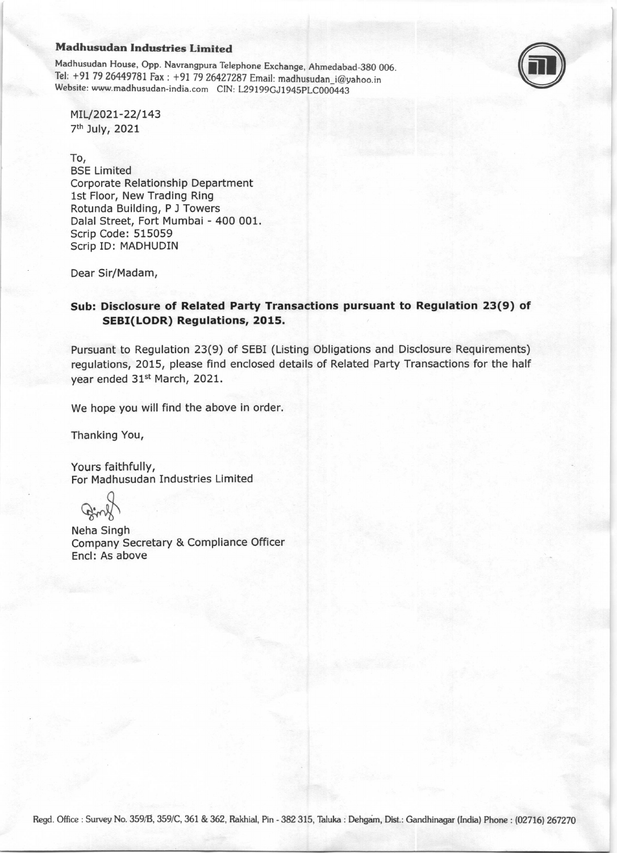#### Madhusudan Industries Limited

Madhusudan House, opp. Navrangpura Tetephone Exchange, Ahmedabad-3gO 006. Tel: +91 79 26449781 Fax : +91 79 26427287 Email: madhusudan\_i@yahoo.in Website: www.madhusudan-india.com CIN: L29199GJ1945PLC000443



MIL/2021-22/143 7th July,2OZL

To, BSE Limited

Corporate Relationship Department lst Floor, New Trading Ring Rotunda Building, P J Towers Dalal Street, Fort Mumbai - 400 001. Scrip Code: 515059 Scrip ID: MADHUDIN

Dear Sir/Madam,

# Sub: Disclosure of Related Party Transactions pursuant to Regulation 23(9) of SEBI(LODR) Regulations, 2015.

Pursuant to Regulation 23(9) of SEBI (Listing Obligations and Disclosure Requirements) regulations, 2015, please find enclosed details of Related Party Transactions for the half year ended 31<sup>st</sup> March, 2021.

We hope you will find the above in order.

Thanking You,

Yours faithfully, For Madhusudan Industries Limited

Neha Singh Company Secretary & Compliance Officer Encl: As above